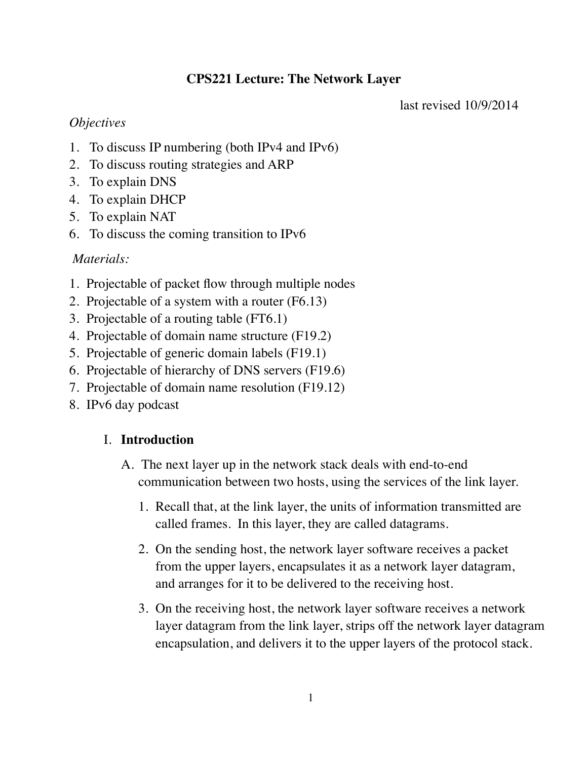## **CPS221 Lecture: The Network Layer**

last revised 10/9/2014

### *Objectives*

- 1. To discuss IP numbering (both IPv4 and IPv6)
- 2. To discuss routing strategies and ARP
- 3. To explain DNS
- 4. To explain DHCP
- 5. To explain NAT
- 6. To discuss the coming transition to IPv6

# *Materials:*

- 1. Projectable of packet flow through multiple nodes
- 2. Projectable of a system with a router (F6.13)
- 3. Projectable of a routing table (FT6.1)
- 4. Projectable of domain name structure (F19.2)
- 5. Projectable of generic domain labels (F19.1)
- 6. Projectable of hierarchy of DNS servers (F19.6)
- 7. Projectable of domain name resolution (F19.12)
- 8. IPv6 day podcast

# I. **Introduction**

- A. The next layer up in the network stack deals with end-to-end communication between two hosts, using the services of the link layer.
	- 1. Recall that, at the link layer, the units of information transmitted are called frames. In this layer, they are called datagrams.
	- 2. On the sending host, the network layer software receives a packet from the upper layers, encapsulates it as a network layer datagram, and arranges for it to be delivered to the receiving host.
	- 3. On the receiving host, the network layer software receives a network layer datagram from the link layer, strips off the network layer datagram encapsulation, and delivers it to the upper layers of the protocol stack.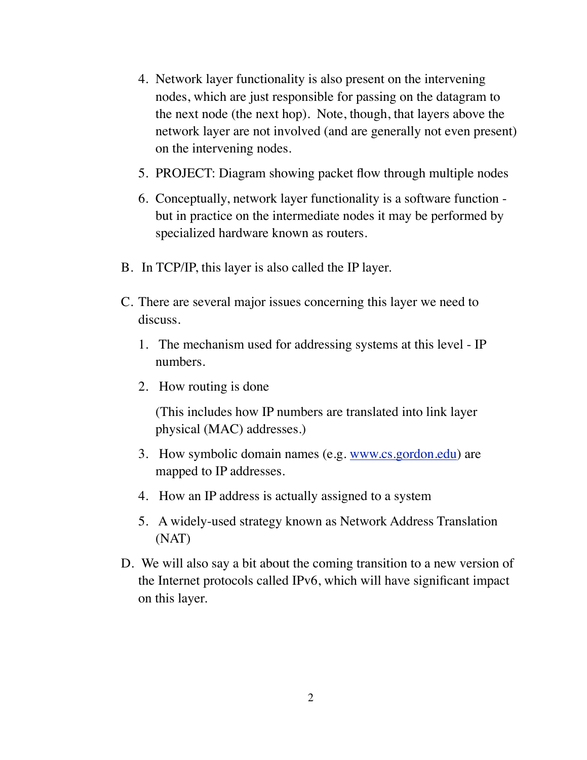- 4. Network layer functionality is also present on the intervening nodes, which are just responsible for passing on the datagram to the next node (the next hop). Note, though, that layers above the network layer are not involved (and are generally not even present) on the intervening nodes.
- 5. PROJECT: Diagram showing packet flow through multiple nodes
- 6. Conceptually, network layer functionality is a software function but in practice on the intermediate nodes it may be performed by specialized hardware known as routers.
- B. In TCP/IP, this layer is also called the IP layer.
- C. There are several major issues concerning this layer we need to discuss.
	- 1. The mechanism used for addressing systems at this level IP numbers.
	- 2. How routing is done

(This includes how IP numbers are translated into link layer physical (MAC) addresses.)

- 3. How symbolic domain names (e.g. [www.cs.gordon.edu\)](http://www.cs.gordon.edu) are mapped to IP addresses.
- 4. How an IP address is actually assigned to a system
- 5. A widely-used strategy known as Network Address Translation (NAT)
- D. We will also say a bit about the coming transition to a new version of the Internet protocols called IPv6, which will have significant impact on this layer.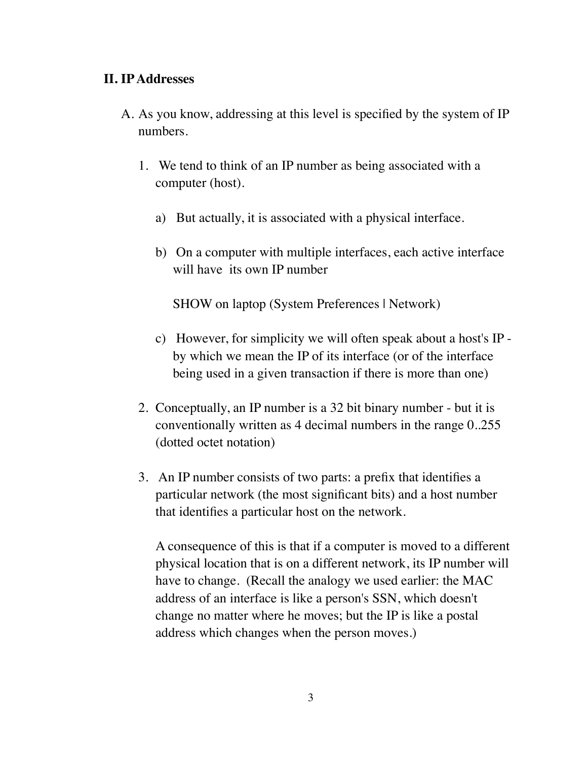### **II. IP Addresses**

- A. As you know, addressing at this level is specified by the system of IP numbers.
	- 1. We tend to think of an IP number as being associated with a computer (host).
		- a) But actually, it is associated with a physical interface.
		- b) On a computer with multiple interfaces, each active interface will have its own IP number

SHOW on laptop (System Preferences | Network)

- c) However, for simplicity we will often speak about a host's IP by which we mean the IP of its interface (or of the interface being used in a given transaction if there is more than one)
- 2. Conceptually, an IP number is a 32 bit binary number but it is conventionally written as 4 decimal numbers in the range 0..255 (dotted octet notation)
- 3. An IP number consists of two parts: a prefix that identifies a particular network (the most significant bits) and a host number that identifies a particular host on the network.

A consequence of this is that if a computer is moved to a different physical location that is on a different network, its IP number will have to change. (Recall the analogy we used earlier: the MAC address of an interface is like a person's SSN, which doesn't change no matter where he moves; but the IP is like a postal address which changes when the person moves.)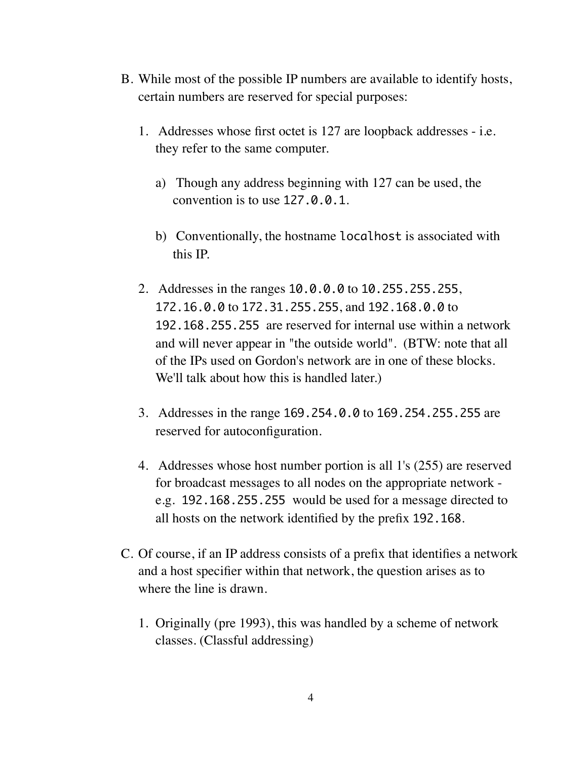- B. While most of the possible IP numbers are available to identify hosts, certain numbers are reserved for special purposes:
	- 1. Addresses whose first octet is 127 are loopback addresses i.e. they refer to the same computer.
		- a) Though any address beginning with 127 can be used, the convention is to use 127.0.0.1.
		- b) Conventionally, the hostname localhost is associated with this IP.
	- 2. Addresses in the ranges 10.0.0.0 to 10.255.255.255, 172.16.0.0 to 172.31.255.255, and 192.168.0.0 to 192.168.255.255 are reserved for internal use within a network and will never appear in "the outside world". (BTW: note that all of the IPs used on Gordon's network are in one of these blocks. We'll talk about how this is handled later.)
	- 3. Addresses in the range 169.254.0.0 to 169.254.255.255 are reserved for autoconfiguration.
	- 4. Addresses whose host number portion is all 1's (255) are reserved for broadcast messages to all nodes on the appropriate network e.g. 192.168.255.255 would be used for a message directed to all hosts on the network identified by the prefix 192.168.
- C. Of course, if an IP address consists of a prefix that identifies a network and a host specifier within that network, the question arises as to where the line is drawn.
	- 1. Originally (pre 1993), this was handled by a scheme of network classes. (Classful addressing)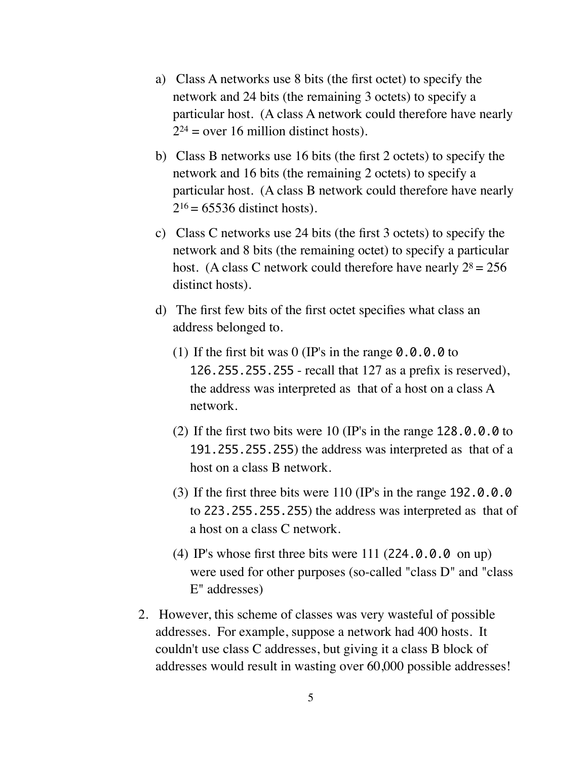- a) Class A networks use 8 bits (the first octet) to specify the network and 24 bits (the remaining 3 octets) to specify a particular host. (A class A network could therefore have nearly  $2^{24}$  = over 16 million distinct hosts).
- b) Class B networks use 16 bits (the first 2 octets) to specify the network and 16 bits (the remaining 2 octets) to specify a particular host. (A class B network could therefore have nearly  $2^{16}$  = 65536 distinct hosts).
- c) Class C networks use 24 bits (the first 3 octets) to specify the network and 8 bits (the remaining octet) to specify a particular host. (A class C network could therefore have nearly  $2^8 = 256$ distinct hosts).
- d) The first few bits of the first octet specifies what class an address belonged to.
	- (1) If the first bit was  $0$  (IP's in the range  $0.0.0.0$  to 126.255.255.255 - recall that 127 as a prefix is reserved), the address was interpreted as that of a host on a class A network.
	- (2) If the first two bits were 10 (IP's in the range 128.0.0.0 to 191.255.255.255) the address was interpreted as that of a host on a class B network.
	- (3) If the first three bits were 110 (IP's in the range 192.0.0.0 to 223.255.255.255) the address was interpreted as that of a host on a class C network.
	- (4) IP's whose first three bits were 111 (224.0.0.0 on up) were used for other purposes (so-called "class D" and "class E" addresses)
- 2. However, this scheme of classes was very wasteful of possible addresses. For example, suppose a network had 400 hosts. It couldn't use class C addresses, but giving it a class B block of addresses would result in wasting over 60,000 possible addresses!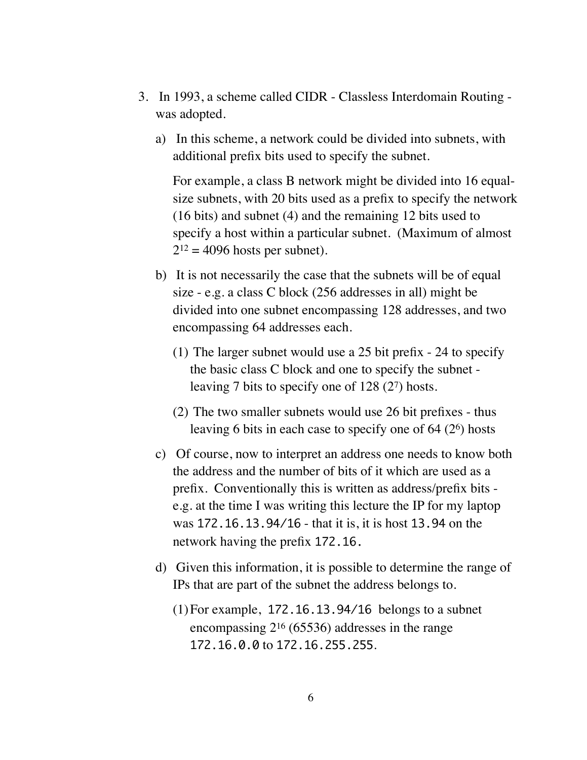- 3. In 1993, a scheme called CIDR Classless Interdomain Routing was adopted.
	- a) In this scheme, a network could be divided into subnets, with additional prefix bits used to specify the subnet.

For example, a class B network might be divided into 16 equalsize subnets, with 20 bits used as a prefix to specify the network (16 bits) and subnet (4) and the remaining 12 bits used to specify a host within a particular subnet. (Maximum of almost  $2^{12} = 4096$  hosts per subnet).

- b) It is not necessarily the case that the subnets will be of equal size - e.g. a class C block (256 addresses in all) might be divided into one subnet encompassing 128 addresses, and two encompassing 64 addresses each.
	- (1) The larger subnet would use a 25 bit prefix 24 to specify the basic class C block and one to specify the subnet leaving 7 bits to specify one of 128 (27) hosts.
	- (2) The two smaller subnets would use 26 bit prefixes thus leaving 6 bits in each case to specify one of 64 (26) hosts
- c) Of course, now to interpret an address one needs to know both the address and the number of bits of it which are used as a prefix. Conventionally this is written as address/prefix bits e.g. at the time I was writing this lecture the IP for my laptop was 172.16.13.94/16 - that it is, it is host 13.94 on the network having the prefix 172.16.
- d) Given this information, it is possible to determine the range of IPs that are part of the subnet the address belongs to.
	- (1)For example, 172.16.13.94/16 belongs to a subnet encompassing 216 (65536) addresses in the range 172.16.0.0 to 172.16.255.255.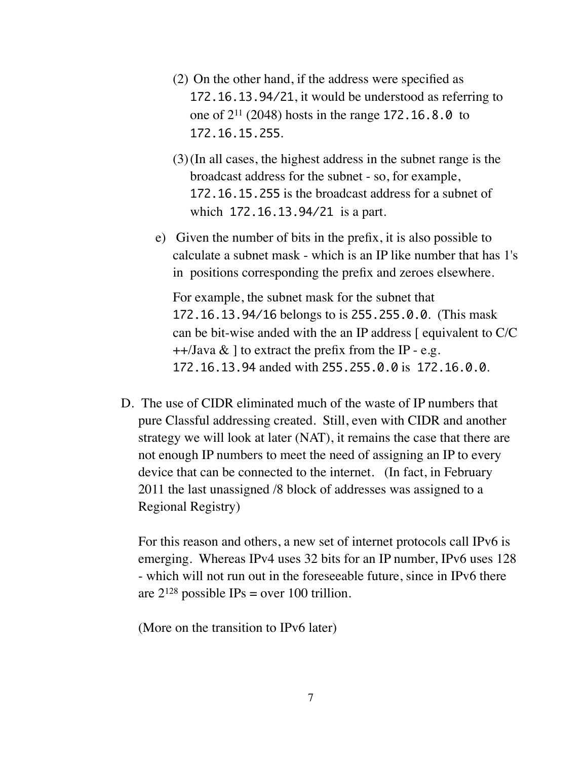- (2) On the other hand, if the address were specified as 172.16.13.94/21, it would be understood as referring to one of 211 (2048) hosts in the range 172.16.8.0 to 172.16.15.255.
- (3)(In all cases, the highest address in the subnet range is the broadcast address for the subnet - so, for example, 172.16.15.255 is the broadcast address for a subnet of which 172.16.13.94/21 is a part.
- e) Given the number of bits in the prefix, it is also possible to calculate a subnet mask - which is an IP like number that has 1's in positions corresponding the prefix and zeroes elsewhere.

For example, the subnet mask for the subnet that 172.16.13.94/16 belongs to is 255.255.0.0. (This mask can be bit-wise anded with the an IP address [ equivalent to C/C  $++$ /Java & 1 to extract the prefix from the IP - e.g. 172.16.13.94 anded with 255.255.0.0 is 172.16.0.0.

D. The use of CIDR eliminated much of the waste of IP numbers that pure Classful addressing created. Still, even with CIDR and another strategy we will look at later (NAT), it remains the case that there are not enough IP numbers to meet the need of assigning an IP to every device that can be connected to the internet. (In fact, in February 2011 the last unassigned /8 block of addresses was assigned to a Regional Registry)

For this reason and others, a new set of internet protocols call IPv6 is emerging. Whereas IPv4 uses 32 bits for an IP number, IPv6 uses 128 - which will not run out in the foreseeable future, since in IPv6 there are  $2^{128}$  possible IPs = over 100 trillion.

(More on the transition to IPv6 later)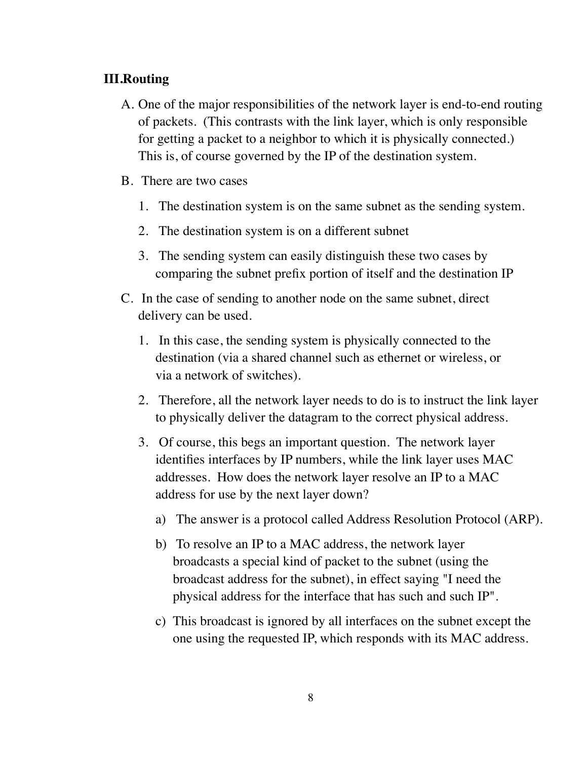### **III.Routing**

- A. One of the major responsibilities of the network layer is end-to-end routing of packets. (This contrasts with the link layer, which is only responsible for getting a packet to a neighbor to which it is physically connected.) This is, of course governed by the IP of the destination system.
- B. There are two cases
	- 1. The destination system is on the same subnet as the sending system.
	- 2. The destination system is on a different subnet
	- 3. The sending system can easily distinguish these two cases by comparing the subnet prefix portion of itself and the destination IP
- C. In the case of sending to another node on the same subnet, direct delivery can be used.
	- 1. In this case, the sending system is physically connected to the destination (via a shared channel such as ethernet or wireless, or via a network of switches).
	- 2. Therefore, all the network layer needs to do is to instruct the link layer to physically deliver the datagram to the correct physical address.
	- 3. Of course, this begs an important question. The network layer identifies interfaces by IP numbers, while the link layer uses MAC addresses. How does the network layer resolve an IP to a MAC address for use by the next layer down?
		- a) The answer is a protocol called Address Resolution Protocol (ARP).
		- b) To resolve an IP to a MAC address, the network layer broadcasts a special kind of packet to the subnet (using the broadcast address for the subnet), in effect saying "I need the physical address for the interface that has such and such IP".
		- c) This broadcast is ignored by all interfaces on the subnet except the one using the requested IP, which responds with its MAC address.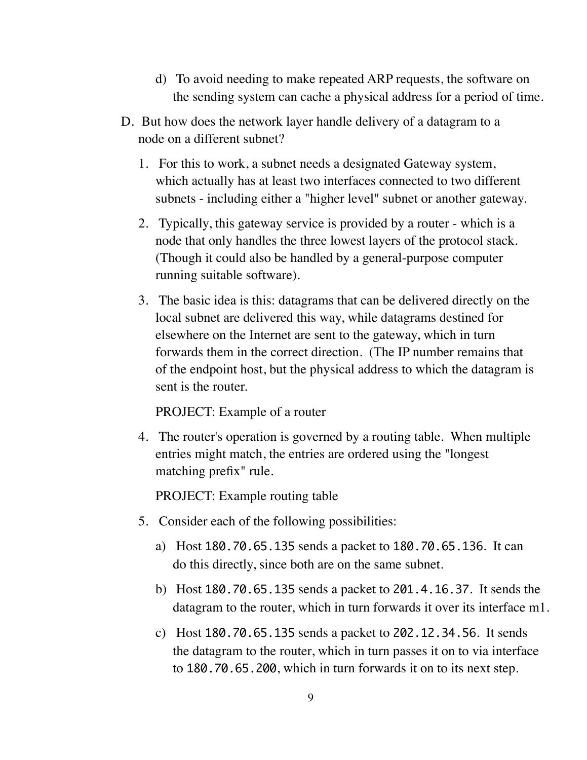- d) To avoid needing to make repeated ARP requests, the software on the sending system can cache a physical address for a period of time.
- D. But how does the network layer handle delivery of a datagram to a node on a different subnet?
	- 1. For this to work, a subnet needs a designated Gateway system, which actually has at least two interfaces connected to two different subnets - including either a "higher level" subnet or another gateway.
	- 2. Typically, this gateway service is provided by a router which is a node that only handles the three lowest layers of the protocol stack. (Though it could also be handled by a general-purpose computer running suitable software).
	- 3. The basic idea is this: datagrams that can be delivered directly on the local subnet are delivered this way, while datagrams destined for elsewhere on the Internet are sent to the gateway, which in turn forwards them in the correct direction. (The IP number remains that of the endpoint host, but the physical address to which the datagram is sent is the router.

PROJECT: Example of a router

4. The router's operation is governed by a routing table. When multiple entries might match, the entries are ordered using the "longest matching prefix" rule.

PROJECT: Example routing table

- 5. Consider each of the following possibilities:
	- a) Host 180.70.65.135 sends a packet to 180.70.65.136. It can do this directly, since both are on the same subnet.
	- b) Host 180.70.65.135 sends a packet to 201.4.16.37. It sends the datagram to the router, which in turn forwards it over its interface m1.
	- c) Host 180.70.65.135 sends a packet to 202.12.34.56. It sends the datagram to the router, which in turn passes it on to via interface to 180.70.65.200, which in turn forwards it on to its next step.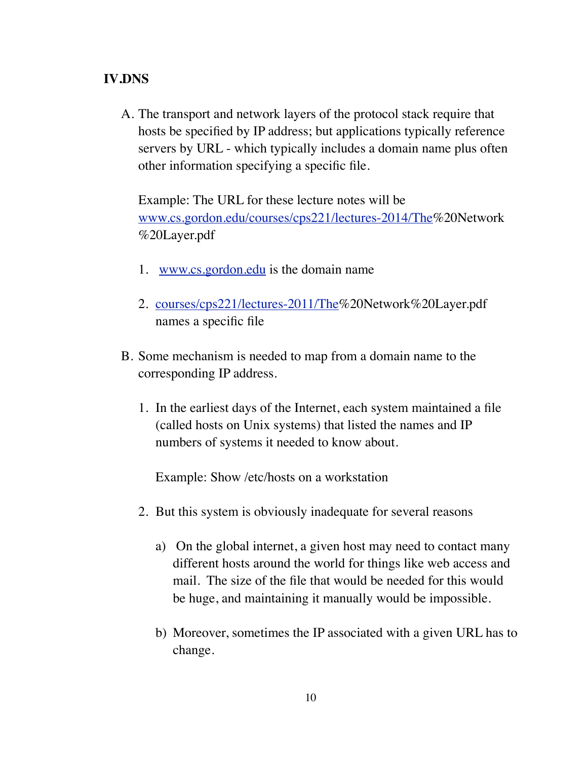### **IV.DNS**

A. The transport and network layers of the protocol stack require that hosts be specified by IP address; but applications typically reference servers by URL - which typically includes a domain name plus often other information specifying a specific file.

Example: The URL for these lecture notes will be [www.cs.gordon.edu/courses/cps221/lectures-2014/The%](http://www.cs.gordon.edu/courses/cps221/lectures-2011/The)20Network %20Layer.pdf

- 1. [www.cs.gordon.edu](http://www.cs.gordon.edu) is the domain name
- 2. [courses/cps221/lectures-2011/The%](http://www.cs.gordon.edu/courses/cps221/lectures-2011/The)20Network%20Layer.pdf names a specific file
- B. Some mechanism is needed to map from a domain name to the corresponding IP address.
	- 1. In the earliest days of the Internet, each system maintained a file (called hosts on Unix systems) that listed the names and IP numbers of systems it needed to know about.

Example: Show /etc/hosts on a workstation

- 2. But this system is obviously inadequate for several reasons
	- a) On the global internet, a given host may need to contact many different hosts around the world for things like web access and mail. The size of the file that would be needed for this would be huge, and maintaining it manually would be impossible.
	- b) Moreover, sometimes the IP associated with a given URL has to change.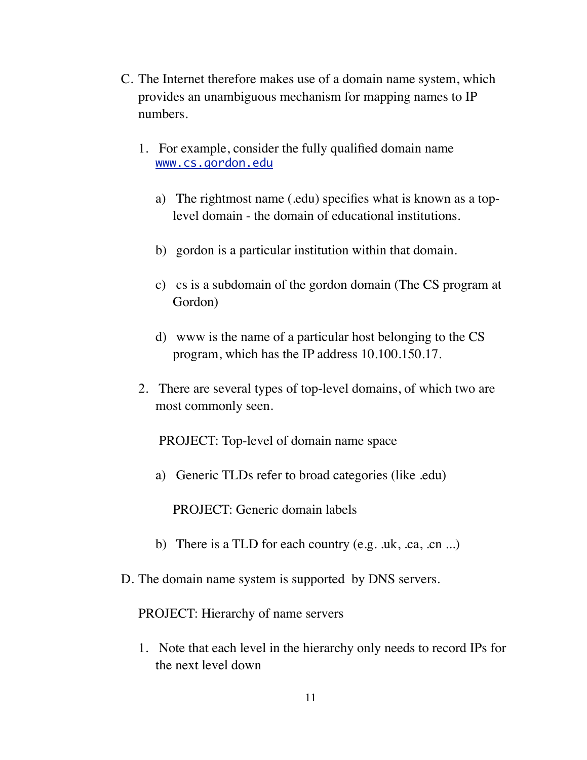- C. The Internet therefore makes use of a domain name system, which provides an unambiguous mechanism for mapping names to IP numbers.
	- 1. For example, consider the fully qualified domain name [www.cs.gordon.edu](http://www.cs.gordon.edu)
		- a) The rightmost name (.edu) specifies what is known as a toplevel domain - the domain of educational institutions.
		- b) gordon is a particular institution within that domain.
		- c) cs is a subdomain of the gordon domain (The CS program at Gordon)
		- d) www is the name of a particular host belonging to the CS program, which has the IP address 10.100.150.17.
	- 2. There are several types of top-level domains, of which two are most commonly seen.

PROJECT: Top-level of domain name space

a) Generic TLDs refer to broad categories (like .edu)

PROJECT: Generic domain labels

- b) There is a TLD for each country (e.g. .uk, .ca, .cn ...)
- D. The domain name system is supported by DNS servers.

PROJECT: Hierarchy of name servers

1. Note that each level in the hierarchy only needs to record IPs for the next level down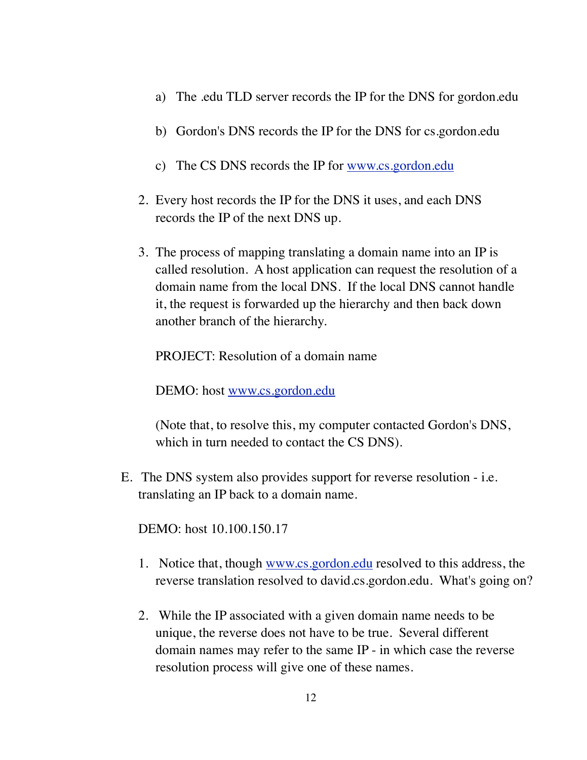- a) The .edu TLD server records the IP for the DNS for gordon.edu
- b) Gordon's DNS records the IP for the DNS for cs.gordon.edu
- c) The CS DNS records the IP for [www.cs.gordon.edu](http://www.cs.gordon.edu)
- 2. Every host records the IP for the DNS it uses, and each DNS records the IP of the next DNS up.
- 3. The process of mapping translating a domain name into an IP is called resolution. A host application can request the resolution of a domain name from the local DNS. If the local DNS cannot handle it, the request is forwarded up the hierarchy and then back down another branch of the hierarchy.

PROJECT: Resolution of a domain name

DEMO: host [www.cs.gordon.edu](http://www.cs.gordon.edu)

(Note that, to resolve this, my computer contacted Gordon's DNS, which in turn needed to contact the CS DNS).

E. The DNS system also provides support for reverse resolution - i.e. translating an IP back to a domain name.

DEMO: host 10.100.150.17

- 1. Notice that, though [www.cs.gordon.edu](http://www.cs.gordon.edu) resolved to this address, the reverse translation resolved to david.cs.gordon.edu. What's going on?
- 2. While the IP associated with a given domain name needs to be unique, the reverse does not have to be true. Several different domain names may refer to the same IP - in which case the reverse resolution process will give one of these names.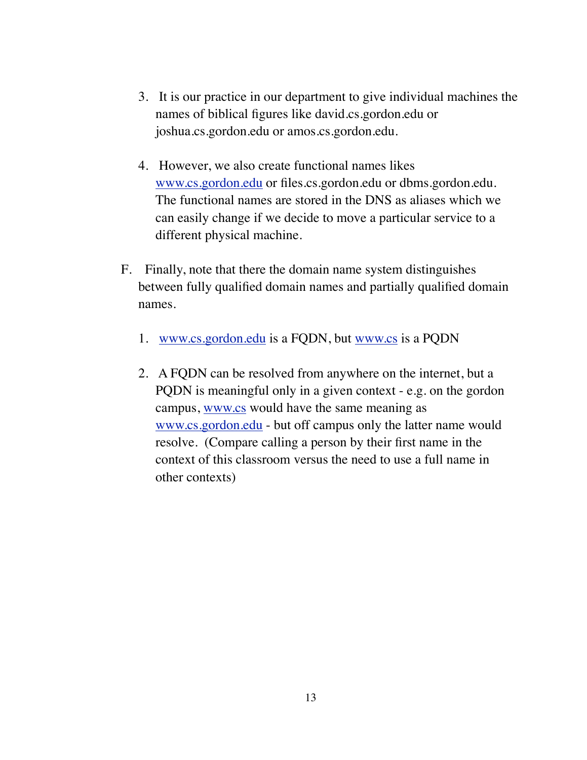- 3. It is our practice in our department to give individual machines the names of biblical figures like david.cs.gordon.edu or joshua.cs.gordon.edu or amos.cs.gordon.edu.
- 4. However, we also create functional names likes [www.cs.gordon.edu](http://www.cs.gordon.edu) or files.cs.gordon.edu or dbms.gordon.edu. The functional names are stored in the DNS as aliases which we can easily change if we decide to move a particular service to a different physical machine.
- F. Finally, note that there the domain name system distinguishes between fully qualified domain names and partially qualified domain names.
	- 1. [www.cs.gordon.edu](http://www.cs.gordon.edu) is a FQDN, but [www.cs](http://www.cs) is a PQDN
	- 2. A FQDN can be resolved from anywhere on the internet, but a PQDN is meaningful only in a given context - e.g. on the gordon campus, [www.cs](http://www.cs) would have the same meaning as [www.cs.gordon.edu](http://www.cs.gordon.edu) - but off campus only the latter name would resolve. (Compare calling a person by their first name in the context of this classroom versus the need to use a full name in other contexts)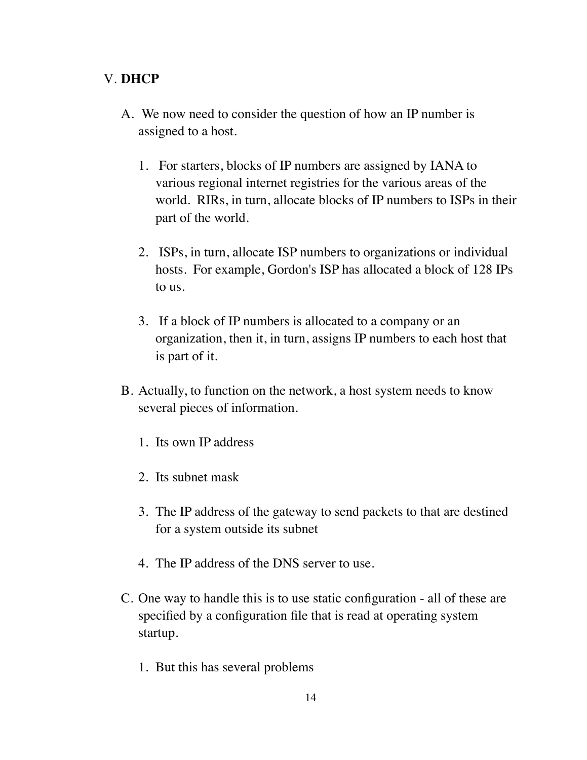### V. **DHCP**

- A. We now need to consider the question of how an IP number is assigned to a host.
	- 1. For starters, blocks of IP numbers are assigned by IANA to various regional internet registries for the various areas of the world. RIRs, in turn, allocate blocks of IP numbers to ISPs in their part of the world.
	- 2. ISPs, in turn, allocate ISP numbers to organizations or individual hosts. For example, Gordon's ISP has allocated a block of 128 IPs to us.
	- 3. If a block of IP numbers is allocated to a company or an organization, then it, in turn, assigns IP numbers to each host that is part of it.
- B. Actually, to function on the network, a host system needs to know several pieces of information.
	- 1. Its own IP address
	- 2. Its subnet mask
	- 3. The IP address of the gateway to send packets to that are destined for a system outside its subnet
	- 4. The IP address of the DNS server to use.
- C. One way to handle this is to use static configuration all of these are specified by a configuration file that is read at operating system startup.
	- 1. But this has several problems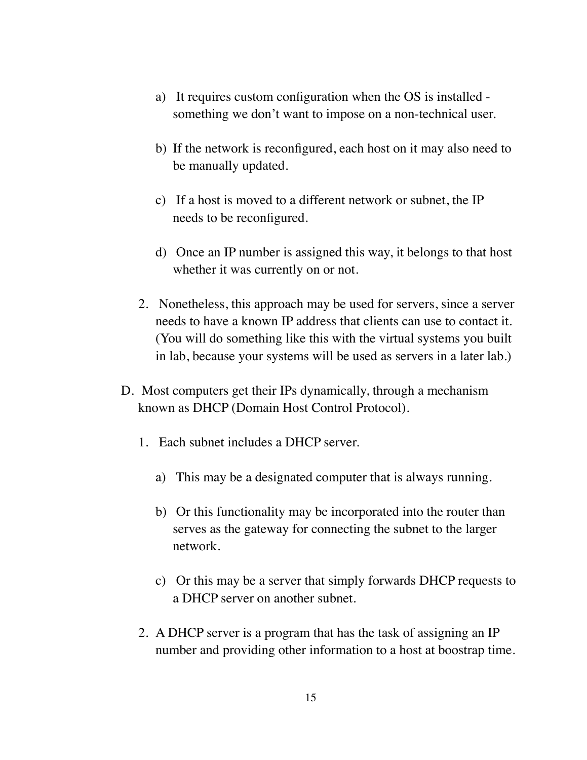- a) It requires custom configuration when the OS is installed something we don't want to impose on a non-technical user.
- b) If the network is reconfigured, each host on it may also need to be manually updated.
- c) If a host is moved to a different network or subnet, the IP needs to be reconfigured.
- d) Once an IP number is assigned this way, it belongs to that host whether it was currently on or not.
- 2. Nonetheless, this approach may be used for servers, since a server needs to have a known IP address that clients can use to contact it. (You will do something like this with the virtual systems you built in lab, because your systems will be used as servers in a later lab.)
- D. Most computers get their IPs dynamically, through a mechanism known as DHCP (Domain Host Control Protocol).
	- 1. Each subnet includes a DHCP server.
		- a) This may be a designated computer that is always running.
		- b) Or this functionality may be incorporated into the router than serves as the gateway for connecting the subnet to the larger network.
		- c) Or this may be a server that simply forwards DHCP requests to a DHCP server on another subnet.
	- 2. A DHCP server is a program that has the task of assigning an IP number and providing other information to a host at boostrap time.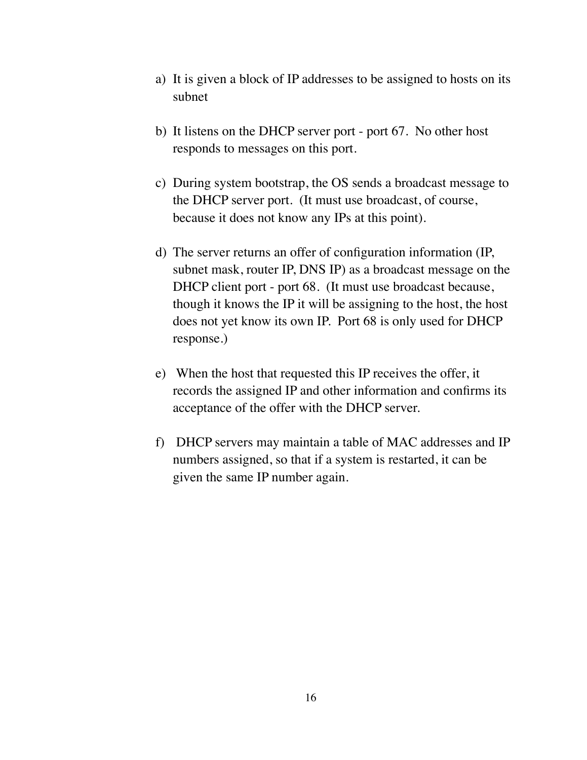- a) It is given a block of IP addresses to be assigned to hosts on its subnet
- b) It listens on the DHCP server port port 67. No other host responds to messages on this port.
- c) During system bootstrap, the OS sends a broadcast message to the DHCP server port. (It must use broadcast, of course, because it does not know any IPs at this point).
- d) The server returns an offer of configuration information (IP, subnet mask, router IP, DNS IP) as a broadcast message on the DHCP client port - port 68. (It must use broadcast because, though it knows the IP it will be assigning to the host, the host does not yet know its own IP. Port 68 is only used for DHCP response.)
- e) When the host that requested this IP receives the offer, it records the assigned IP and other information and confirms its acceptance of the offer with the DHCP server.
- f) DHCP servers may maintain a table of MAC addresses and IP numbers assigned, so that if a system is restarted, it can be given the same IP number again.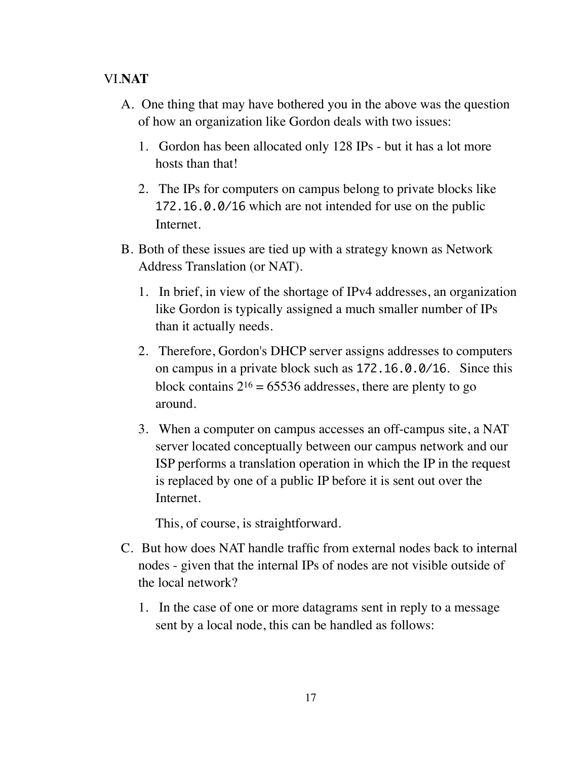### VI.**NAT**

- A. One thing that may have bothered you in the above was the question of how an organization like Gordon deals with two issues:
	- 1. Gordon has been allocated only 128 IPs but it has a lot more hosts than that!
	- 2. The IPs for computers on campus belong to private blocks like 172.16.0.0/16 which are not intended for use on the public Internet.
- B. Both of these issues are tied up with a strategy known as Network Address Translation (or NAT).
	- 1. In brief, in view of the shortage of IPv4 addresses, an organization like Gordon is typically assigned a much smaller number of IPs than it actually needs.
	- 2. Therefore, Gordon's DHCP server assigns addresses to computers on campus in a private block such as 172.16.0.0/16. Since this block contains  $2^{16} = 65536$  addresses, there are plenty to go around.
	- 3. When a computer on campus accesses an off-campus site, a NAT server located conceptually between our campus network and our ISP performs a translation operation in which the IP in the request is replaced by one of a public IP before it is sent out over the Internet.

This, of course, is straightforward.

- C. But how does NAT handle traffic from external nodes back to internal nodes - given that the internal IPs of nodes are not visible outside of the local network?
	- 1. In the case of one or more datagrams sent in reply to a message sent by a local node, this can be handled as follows: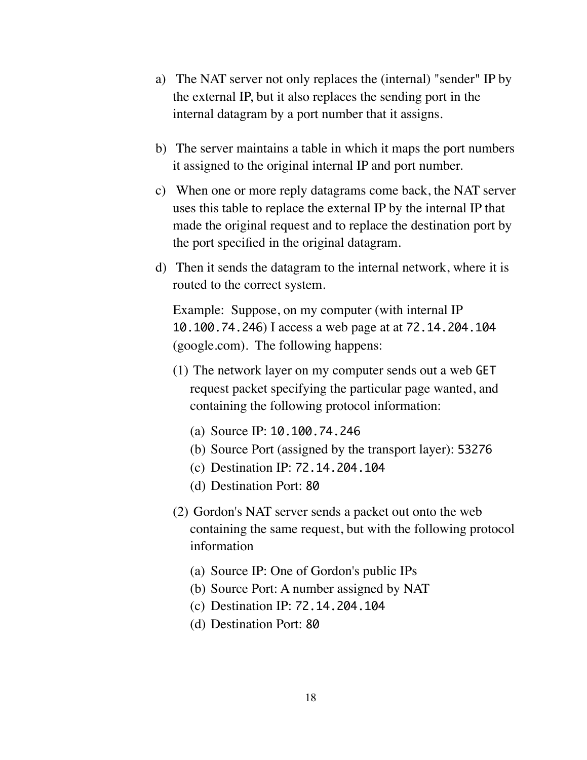- a) The NAT server not only replaces the (internal) "sender" IP by the external IP, but it also replaces the sending port in the internal datagram by a port number that it assigns.
- b) The server maintains a table in which it maps the port numbers it assigned to the original internal IP and port number.
- c) When one or more reply datagrams come back, the NAT server uses this table to replace the external IP by the internal IP that made the original request and to replace the destination port by the port specified in the original datagram.
- d) Then it sends the datagram to the internal network, where it is routed to the correct system.

Example: Suppose, on my computer (with internal IP 10.100.74.246) I access a web page at at 72.14.204.104 (google.com). The following happens:

- (1) The network layer on my computer sends out a web GET request packet specifying the particular page wanted, and containing the following protocol information:
	- (a) Source IP: 10.100.74.246
	- (b) Source Port (assigned by the transport layer): 53276
	- (c) Destination IP: 72.14.204.104
	- (d) Destination Port: 80
- (2) Gordon's NAT server sends a packet out onto the web containing the same request, but with the following protocol information
	- (a) Source IP: One of Gordon's public IPs
	- (b) Source Port: A number assigned by NAT
	- (c) Destination IP: 72.14.204.104
	- (d) Destination Port: 80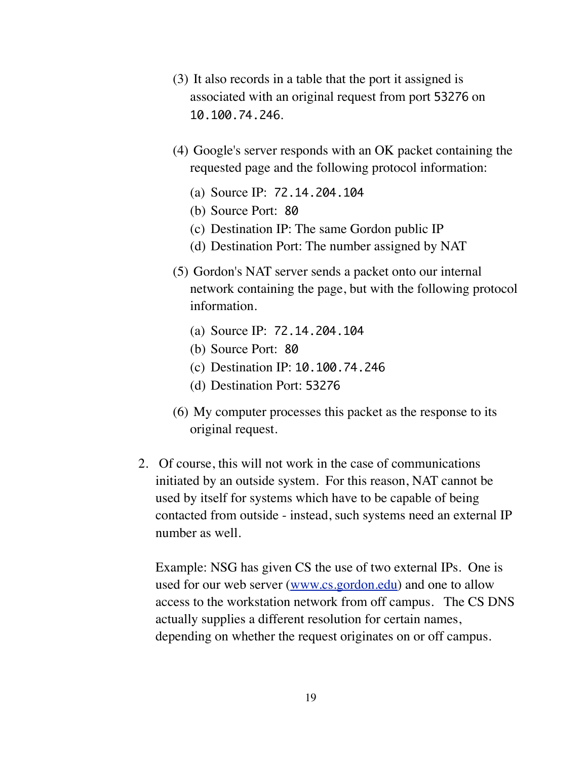- (3) It also records in a table that the port it assigned is associated with an original request from port 53276 on 10.100.74.246.
- (4) Google's server responds with an OK packet containing the requested page and the following protocol information:
	- (a) Source IP: 72.14.204.104
	- (b) Source Port: 80
	- (c) Destination IP: The same Gordon public IP
	- (d) Destination Port: The number assigned by NAT
- (5) Gordon's NAT server sends a packet onto our internal network containing the page, but with the following protocol information.
	- (a) Source IP: 72.14.204.104
	- (b) Source Port: 80
	- (c) Destination IP: 10.100.74.246
	- (d) Destination Port: 53276
- (6) My computer processes this packet as the response to its original request.
- 2. Of course, this will not work in the case of communications initiated by an outside system. For this reason, NAT cannot be used by itself for systems which have to be capable of being contacted from outside - instead, such systems need an external IP number as well.

Example: NSG has given CS the use of two external IPs. One is used for our web server [\(www.cs.gordon.edu\)](http://www.cs.gordon.edu) and one to allow access to the workstation network from off campus. The CS DNS actually supplies a different resolution for certain names, depending on whether the request originates on or off campus.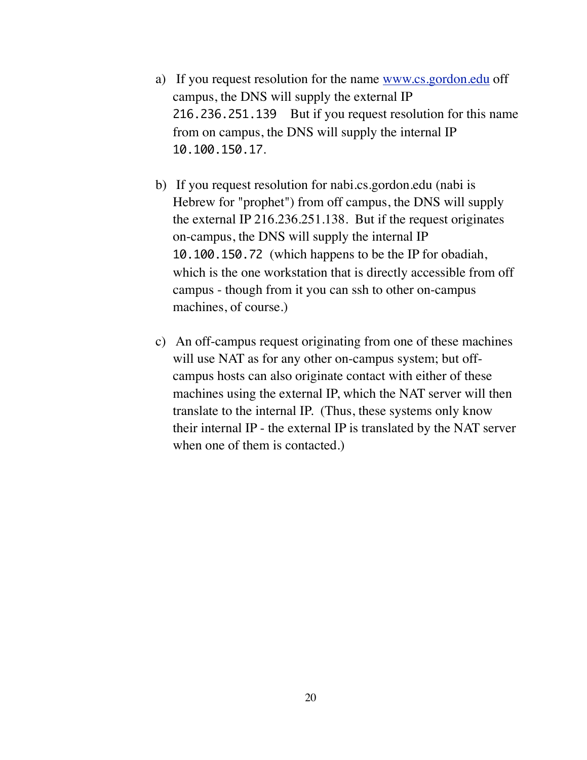- a) If you request resolution for the name [www.cs.gordon.edu](http://www.cs.gordon.edu) off campus, the DNS will supply the external IP 216.236.251.139 But if you request resolution for this name from on campus, the DNS will supply the internal IP 10.100.150.17.
- b) If you request resolution for nabi.cs.gordon.edu (nabi is Hebrew for "prophet") from off campus, the DNS will supply the external IP 216.236.251.138. But if the request originates on-campus, the DNS will supply the internal IP 10.100.150.72 (which happens to be the IP for obadiah, which is the one workstation that is directly accessible from off campus - though from it you can ssh to other on-campus machines, of course.)
- c) An off-campus request originating from one of these machines will use NAT as for any other on-campus system; but offcampus hosts can also originate contact with either of these machines using the external IP, which the NAT server will then translate to the internal IP. (Thus, these systems only know their internal IP - the external IP is translated by the NAT server when one of them is contacted.)